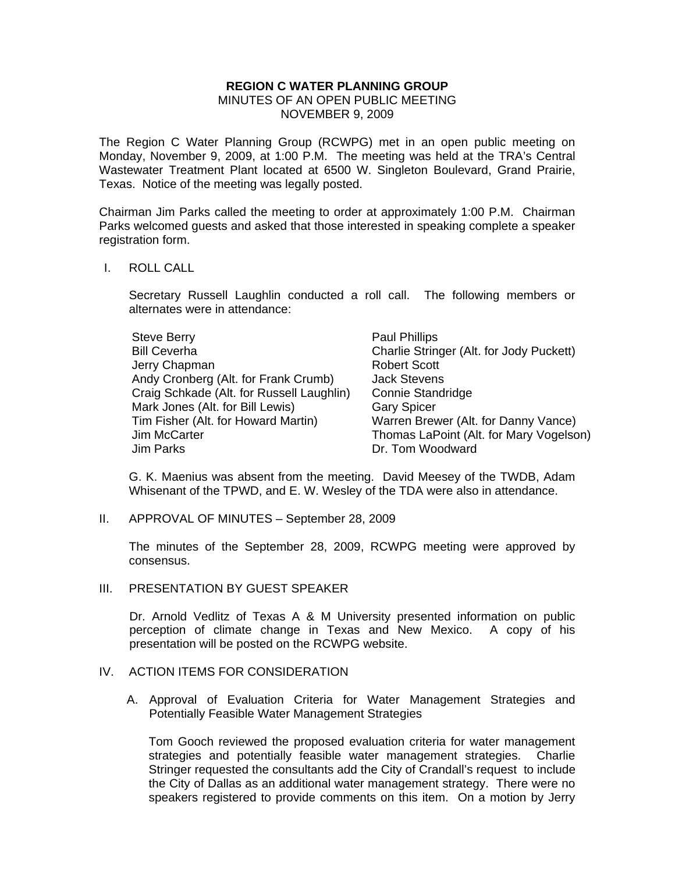## **REGION C WATER PLANNING GROUP**  MINUTES OF AN OPEN PUBLIC MEETING NOVEMBER 9, 2009

The Region C Water Planning Group (RCWPG) met in an open public meeting on Monday, November 9, 2009, at 1:00 P.M. The meeting was held at the TRA's Central Wastewater Treatment Plant located at 6500 W. Singleton Boulevard, Grand Prairie, Texas. Notice of the meeting was legally posted.

Chairman Jim Parks called the meeting to order at approximately 1:00 P.M. Chairman Parks welcomed guests and asked that those interested in speaking complete a speaker registration form.

#### I. ROLL CALL

 Secretary Russell Laughlin conducted a roll call. The following members or alternates were in attendance:

| <b>Steve Berry</b>                        | <b>Paul Phillips</b>                     |
|-------------------------------------------|------------------------------------------|
| <b>Bill Ceverha</b>                       | Charlie Stringer (Alt. for Jody Puckett) |
| Jerry Chapman                             | <b>Robert Scott</b>                      |
| Andy Cronberg (Alt. for Frank Crumb)      | <b>Jack Stevens</b>                      |
| Craig Schkade (Alt. for Russell Laughlin) | Connie Standridge                        |
| Mark Jones (Alt. for Bill Lewis)          | <b>Gary Spicer</b>                       |
| Tim Fisher (Alt. for Howard Martin)       | Warren Brewer (Alt. for Danny Vance)     |
| Jim McCarter                              | Thomas LaPoint (Alt. for Mary Vogelson)  |
| <b>Jim Parks</b>                          | Dr. Tom Woodward                         |

 G. K. Maenius was absent from the meeting. David Meesey of the TWDB, Adam Whisenant of the TPWD, and E. W. Wesley of the TDA were also in attendance.

II. APPROVAL OF MINUTES – September 28, 2009

The minutes of the September 28, 2009, RCWPG meeting were approved by consensus.

## III. PRESENTATION BY GUEST SPEAKER

Dr. Arnold Vedlitz of Texas A & M University presented information on public perception of climate change in Texas and New Mexico. A copy of his presentation will be posted on the RCWPG website.

## IV. ACTION ITEMS FOR CONSIDERATION

A. Approval of Evaluation Criteria for Water Management Strategies and Potentially Feasible Water Management Strategies

Tom Gooch reviewed the proposed evaluation criteria for water management strategies and potentially feasible water management strategies. Charlie Stringer requested the consultants add the City of Crandall's request to include the City of Dallas as an additional water management strategy. There were no speakers registered to provide comments on this item. On a motion by Jerry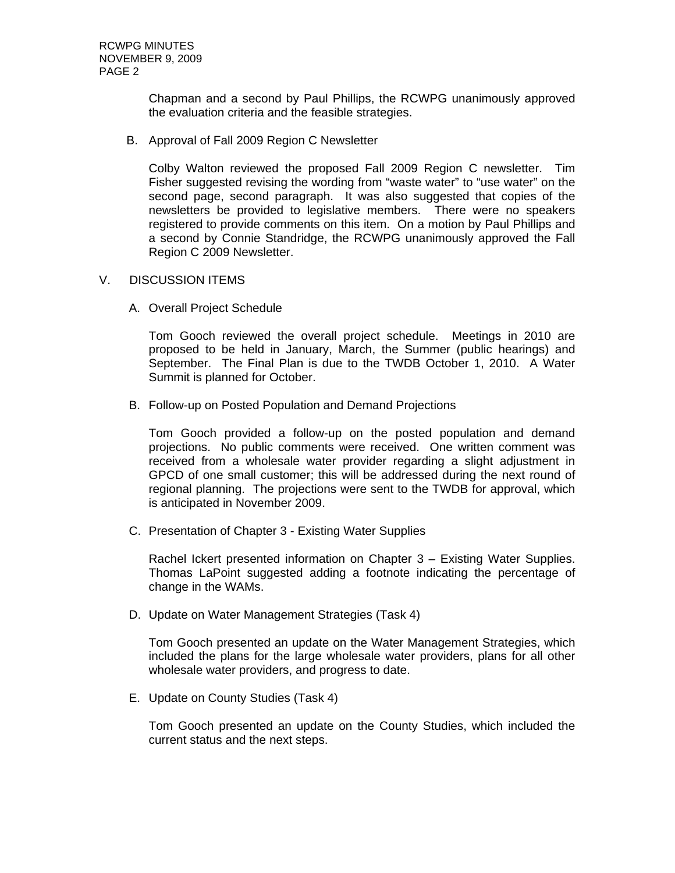Chapman and a second by Paul Phillips, the RCWPG unanimously approved the evaluation criteria and the feasible strategies.

B. Approval of Fall 2009 Region C Newsletter

Colby Walton reviewed the proposed Fall 2009 Region C newsletter. Tim Fisher suggested revising the wording from "waste water" to "use water" on the second page, second paragraph. It was also suggested that copies of the newsletters be provided to legislative members. There were no speakers registered to provide comments on this item. On a motion by Paul Phillips and a second by Connie Standridge, the RCWPG unanimously approved the Fall Region C 2009 Newsletter.

#### V. DISCUSSION ITEMS

A. Overall Project Schedule

Tom Gooch reviewed the overall project schedule. Meetings in 2010 are proposed to be held in January, March, the Summer (public hearings) and September. The Final Plan is due to the TWDB October 1, 2010. A Water Summit is planned for October.

B. Follow-up on Posted Population and Demand Projections

Tom Gooch provided a follow-up on the posted population and demand projections. No public comments were received. One written comment was received from a wholesale water provider regarding a slight adjustment in GPCD of one small customer; this will be addressed during the next round of regional planning. The projections were sent to the TWDB for approval, which is anticipated in November 2009.

C. Presentation of Chapter 3 - Existing Water Supplies

Rachel Ickert presented information on Chapter 3 – Existing Water Supplies. Thomas LaPoint suggested adding a footnote indicating the percentage of change in the WAMs.

D. Update on Water Management Strategies (Task 4)

Tom Gooch presented an update on the Water Management Strategies, which included the plans for the large wholesale water providers, plans for all other wholesale water providers, and progress to date.

E. Update on County Studies (Task 4)

Tom Gooch presented an update on the County Studies, which included the current status and the next steps.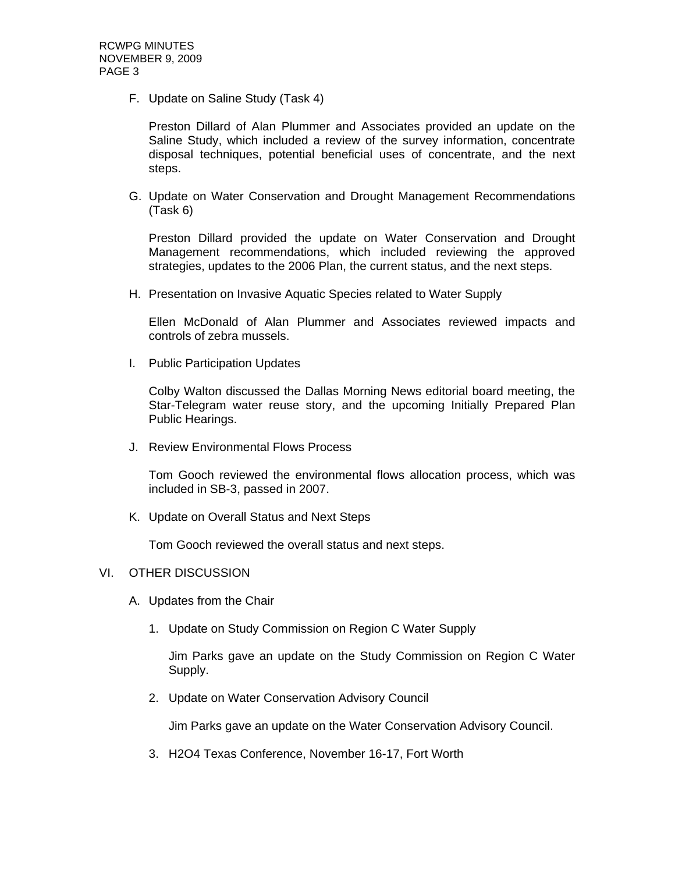F. Update on Saline Study (Task 4)

Preston Dillard of Alan Plummer and Associates provided an update on the Saline Study, which included a review of the survey information, concentrate disposal techniques, potential beneficial uses of concentrate, and the next steps.

G. Update on Water Conservation and Drought Management Recommendations (Task 6)

Preston Dillard provided the update on Water Conservation and Drought Management recommendations, which included reviewing the approved strategies, updates to the 2006 Plan, the current status, and the next steps.

H. Presentation on Invasive Aquatic Species related to Water Supply

Ellen McDonald of Alan Plummer and Associates reviewed impacts and controls of zebra mussels.

I. Public Participation Updates

Colby Walton discussed the Dallas Morning News editorial board meeting, the Star-Telegram water reuse story, and the upcoming Initially Prepared Plan Public Hearings.

J. Review Environmental Flows Process

Tom Gooch reviewed the environmental flows allocation process, which was included in SB-3, passed in 2007.

K. Update on Overall Status and Next Steps

Tom Gooch reviewed the overall status and next steps.

## VI. OTHER DISCUSSION

- A. Updates from the Chair
	- 1. Update on Study Commission on Region C Water Supply

Jim Parks gave an update on the Study Commission on Region C Water Supply.

2. Update on Water Conservation Advisory Council

Jim Parks gave an update on the Water Conservation Advisory Council.

3. H2O4 Texas Conference, November 16-17, Fort Worth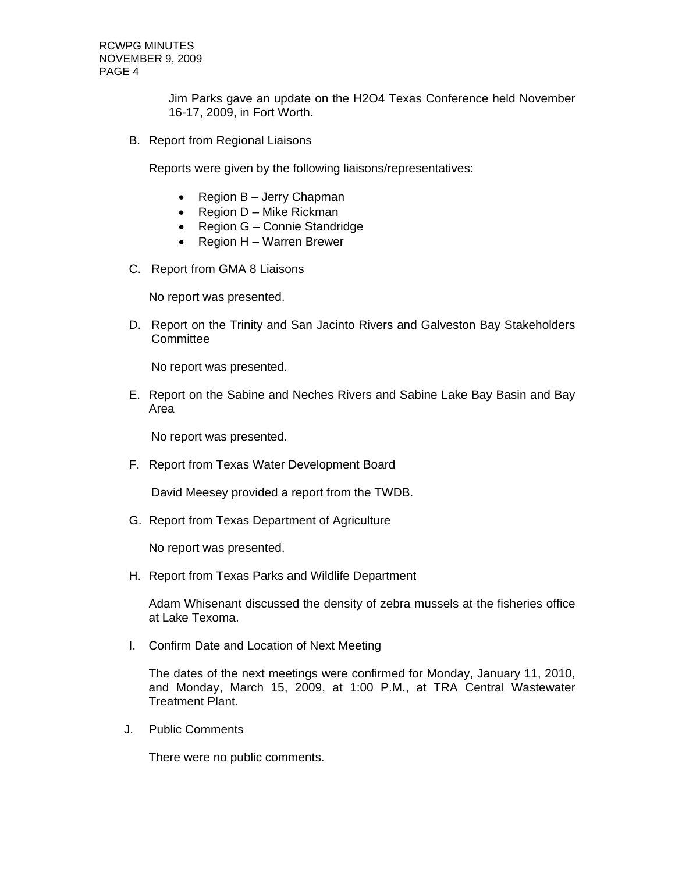RCWPG MINUTES NOVEMBER 9, 2009 PAGE 4

> Jim Parks gave an update on the H2O4 Texas Conference held November 16-17, 2009, in Fort Worth.

B. Report from Regional Liaisons

Reports were given by the following liaisons/representatives:

- Region  $B -$  Jerry Chapman
- Region  $D -$  Mike Rickman
- Region G Connie Standridge
- Region H Warren Brewer
- C. Report from GMA 8 Liaisons

No report was presented.

D. Report on the Trinity and San Jacinto Rivers and Galveston Bay Stakeholders **Committee** 

No report was presented.

E. Report on the Sabine and Neches Rivers and Sabine Lake Bay Basin and Bay Area

No report was presented.

F. Report from Texas Water Development Board

David Meesey provided a report from the TWDB.

G. Report from Texas Department of Agriculture

No report was presented.

H. Report from Texas Parks and Wildlife Department

Adam Whisenant discussed the density of zebra mussels at the fisheries office at Lake Texoma.

I. Confirm Date and Location of Next Meeting

The dates of the next meetings were confirmed for Monday, January 11, 2010, and Monday, March 15, 2009, at 1:00 P.M., at TRA Central Wastewater Treatment Plant.

J. Public Comments

There were no public comments.